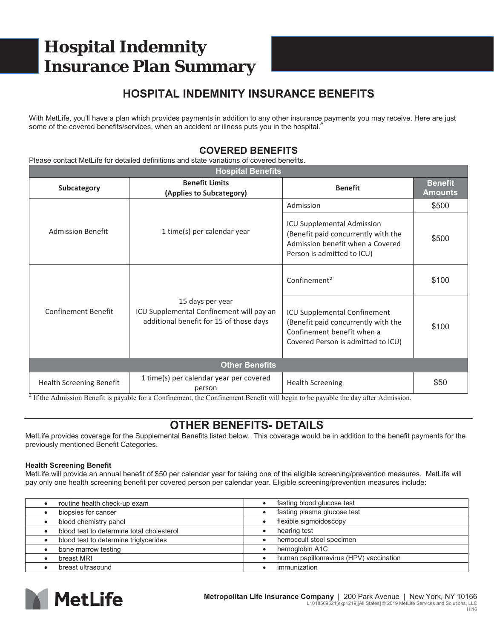# **Hospital Indemnity Insurance Plan Summary**

### **HOSPITAL INDEMNITY INSURANCE BENEFITS**

With MetLife, you'll have a plan which provides payments in addition to any other insurance payments you may receive. Here are just some of the covered benefits/services, when an accident or illness puts you in the hospital.<sup>4</sup>

### **COVERED BENEFITS**

Please contact MetLife for detailed definitions and state variations of covered benefits.

| <b>Hospital Benefits</b>        |                                                                                                                                                                                                                                                                                                                                                                  |                                                                                                                                                |                                  |
|---------------------------------|------------------------------------------------------------------------------------------------------------------------------------------------------------------------------------------------------------------------------------------------------------------------------------------------------------------------------------------------------------------|------------------------------------------------------------------------------------------------------------------------------------------------|----------------------------------|
| <b>Subcategory</b>              | <b>Benefit Limits</b><br>(Applies to Subcategory)                                                                                                                                                                                                                                                                                                                | <b>Benefit</b>                                                                                                                                 | <b>Benefit</b><br><b>Amounts</b> |
| <b>Admission Benefit</b>        | 1 time(s) per calendar year                                                                                                                                                                                                                                                                                                                                      | Admission                                                                                                                                      | \$500                            |
|                                 |                                                                                                                                                                                                                                                                                                                                                                  | <b>ICU Supplemental Admission</b><br>(Benefit paid concurrently with the<br>Admission benefit when a Covered<br>Person is admitted to ICU)     | \$500                            |
| <b>Confinement Benefit</b>      | 15 days per year<br>ICU Supplemental Confinement will pay an<br>additional benefit for 15 of those days                                                                                                                                                                                                                                                          | Confinement <sup>2</sup>                                                                                                                       | \$100                            |
|                                 |                                                                                                                                                                                                                                                                                                                                                                  | <b>ICU Supplemental Confinement</b><br>(Benefit paid concurrently with the<br>Confinement benefit when a<br>Covered Person is admitted to ICU) | \$100                            |
| <b>Other Benefits</b>           |                                                                                                                                                                                                                                                                                                                                                                  |                                                                                                                                                |                                  |
| <b>Health Screening Benefit</b> | 1 time(s) per calendar year per covered<br>person<br>$2\text{ red }$ at $\cdot$ p $\text{c}_i$ if $\text{c}_i$ $\text{c}_i$ and $\text{c}_i$ $\text{c}_i$ and $\text{c}_i$ and $\text{c}_i$ and $\text{c}_i$ and $\text{c}_i$ and $\text{c}_i$ and $\text{c}_i$ and $\text{c}_i$ and $\text{c}_i$ and $\text{c}_i$ and $\text{c}_i$ and $\text{c}_i$ and $\text$ | <b>Health Screening</b>                                                                                                                        | \$50                             |

<sup>2</sup> If the Admission Benefit is payable for a Confinement, the Confinement Benefit will begin to be payable the day after Admission.

### **OTHER BENEFITS- DETAILS**

MetLife provides coverage for the Supplemental Benefits listed below. This coverage would be in addition to the benefit payments for the previously mentioned Benefit Categories.

#### **Health Screening Benefit**

MetLife will provide an annual benefit of \$50 per calendar year for taking one of the eligible screening/prevention measures. MetLife will pay only one health screening benefit per covered person per calendar year. Eligible screening/prevention measures include:

| routine health check-up exam              | fasting blood glucose test             |
|-------------------------------------------|----------------------------------------|
| biopsies for cancer                       | fasting plasma glucose test            |
| blood chemistry panel                     | flexible sigmoidoscopy                 |
| blood test to determine total cholesterol | hearing test                           |
| blood test to determine triglycerides     | hemoccult stool specimen               |
| bone marrow testing                       | hemoglobin A1C                         |
| breast MRI                                | human papillomavirus (HPV) vaccination |
| breast ultrasound                         | immunization                           |